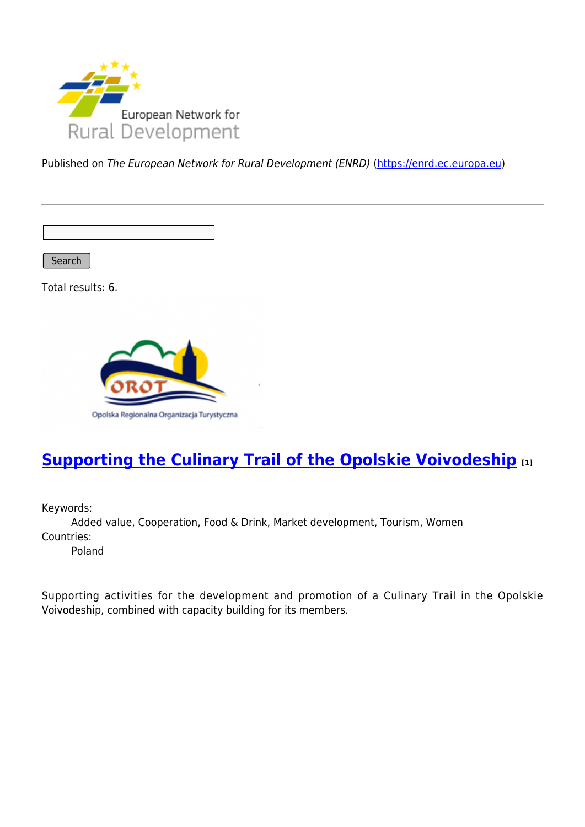

Published on The European Network for Rural Development (ENRD) [\(https://enrd.ec.europa.eu](https://enrd.ec.europa.eu))

Search

Total results: 6.



# **[Supporting the Culinary Trail of the Opolskie Voivodeship](https://enrd.ec.europa.eu/projects-practice/supporting-culinary-trail-opolskie-voivodeship_en) [1]**

Keywords:

Added value, Cooperation, Food & Drink, Market development, Tourism, Women Countries:

Poland

Supporting activities for the development and promotion of a Culinary Trail in the Opolskie Voivodeship, combined with capacity building for its members.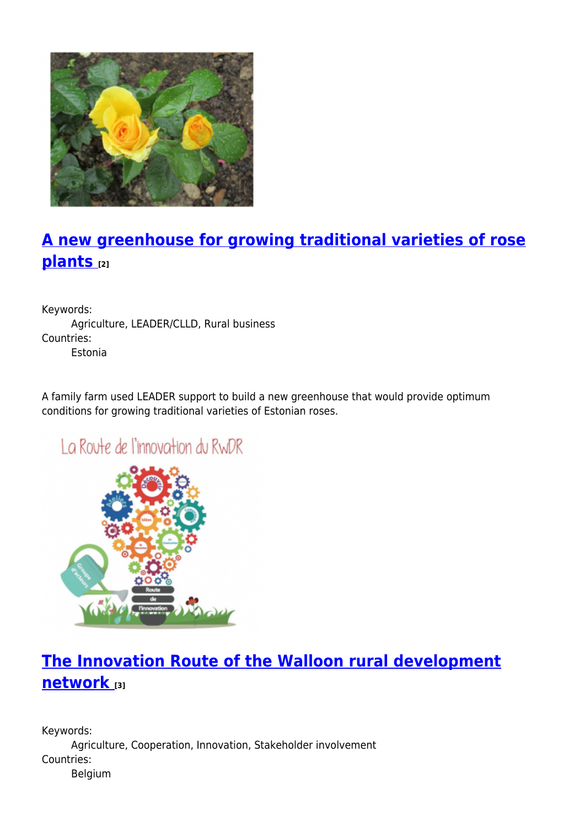

# **[A new greenhouse for growing traditional varieties of rose](https://enrd.ec.europa.eu/projects-practice/new-greenhouse-growing-traditional-varieties-rose-plants_en) [plants](https://enrd.ec.europa.eu/projects-practice/new-greenhouse-growing-traditional-varieties-rose-plants_en) [2]**

Keywords: Agriculture, LEADER/CLLD, Rural business Countries: Estonia

A family farm used LEADER support to build a new greenhouse that would provide optimum conditions for growing traditional varieties of Estonian roses.

# La Route de l'innovation du RWDR



# **[The Innovation Route of the Walloon rural development](https://enrd.ec.europa.eu/projects-practice/innovation-route-walloon-rural-development-network_en) [network](https://enrd.ec.europa.eu/projects-practice/innovation-route-walloon-rural-development-network_en) [3]**

Keywords: Agriculture, Cooperation, Innovation, Stakeholder involvement Countries: Belgium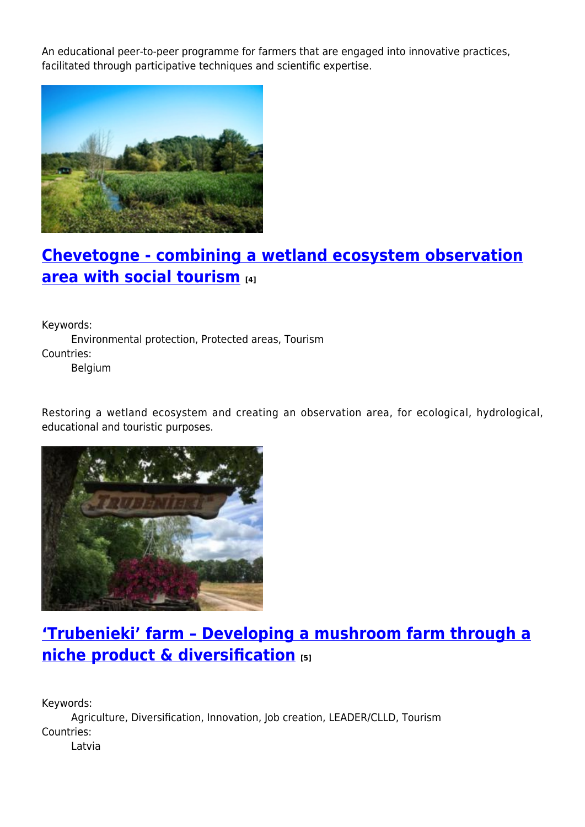An educational peer-to-peer programme for farmers that are engaged into innovative practices, facilitated through participative techniques and scientific expertise.



# **[Chevetogne - combining a wetland ecosystem observation](https://enrd.ec.europa.eu/projects-practice/chevetogne-combining-wetland-ecosystem-observation-area-social-tourism_en) [area with social tourism](https://enrd.ec.europa.eu/projects-practice/chevetogne-combining-wetland-ecosystem-observation-area-social-tourism_en) [4]**

Keywords: Environmental protection, Protected areas, Tourism Countries: Belgium

Restoring a wetland ecosystem and creating an observation area, for ecological, hydrological, educational and touristic purposes.



# **['Trubenieki' farm – Developing a mushroom farm through a](https://enrd.ec.europa.eu/projects-practice/trubenieki-farm-developing-mushroom-farm-through-niche-product-diversification_en) [niche product & diversification](https://enrd.ec.europa.eu/projects-practice/trubenieki-farm-developing-mushroom-farm-through-niche-product-diversification_en) [5]**

Keywords: Agriculture, Diversification, Innovation, Job creation, LEADER/CLLD, Tourism Countries: Latvia